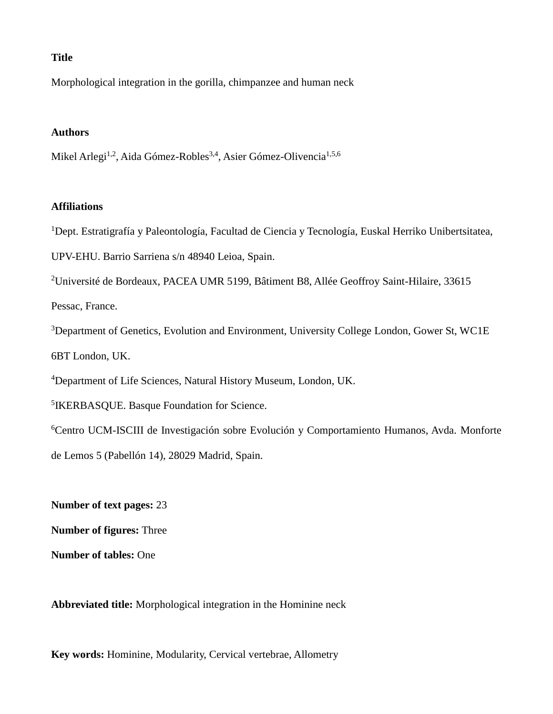# **Title**

Morphological integration in the gorilla, chimpanzee and human neck

# **Authors**

Mikel Arlegi<sup>1,2</sup>, Aida Gómez-Robles<sup>3,4</sup>, Asier Gómez-Olivencia<sup>1,5,6</sup>

## **Affiliations**

<sup>1</sup>Dept. Estratigrafía y Paleontología, Facultad de Ciencia y Tecnología, Euskal Herriko Unibertsitatea,

UPV-EHU. Barrio Sarriena s/n 48940 Leioa, Spain.

<sup>2</sup>Université de Bordeaux, PACEA UMR 5199, Bâtiment B8, Allée Geoffroy Saint-Hilaire, 33615

Pessac, France.

<sup>3</sup>Department of Genetics, Evolution and Environment, University College London, Gower St, WC1E 6BT London, UK.

<sup>4</sup>Department of Life Sciences, Natural History Museum, London, UK.

5 IKERBASQUE. Basque Foundation for Science.

<sup>6</sup>Centro UCM-ISCIII de Investigación sobre Evolución y Comportamiento Humanos, Avda. Monforte de Lemos 5 (Pabellón 14), 28029 Madrid, Spain.

**Number of text pages:** 23

**Number of figures:** Three

**Number of tables:** One

**Abbreviated title:** Morphological integration in the Hominine neck

**Key words:** Hominine, Modularity, Cervical vertebrae, Allometry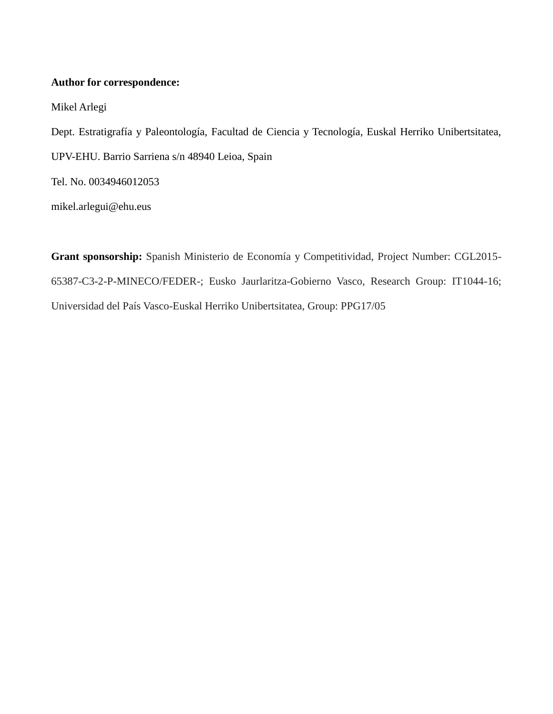# **Author for correspondence:**

Mikel Arlegi

Dept. Estratigrafía y Paleontología, Facultad de Ciencia y Tecnología, Euskal Herriko Unibertsitatea, UPV-EHU. Barrio Sarriena s/n 48940 Leioa, Spain Tel. No. 0034946012053

[mikel.arlegui@ehu.eus](mailto:mikel.arlegui@ehu.eus)

**Grant sponsorship:** Spanish Ministerio de Economía y Competitividad, Project Number: CGL2015- 65387-C3-2-P-MINECO/FEDER-; Eusko Jaurlaritza-Gobierno Vasco, Research Group: IT1044-16; Universidad del País Vasco-Euskal Herriko Unibertsitatea, Group: PPG17/05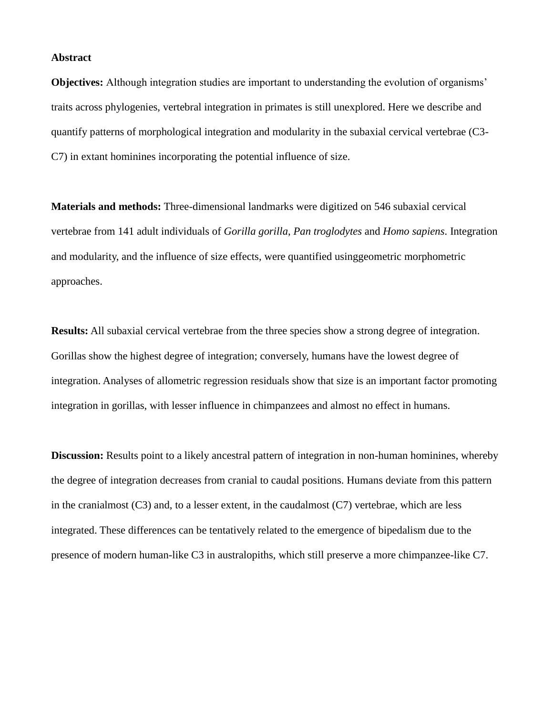#### **Abstract**

**Objectives:** Although integration studies are important to understanding the evolution of organisms' traits across phylogenies, vertebral integration in primates is still unexplored. Here we describe and quantify patterns of morphological integration and modularity in the subaxial cervical vertebrae (C3- C7) in extant hominines incorporating the potential influence of size.

**Materials and methods:** Three-dimensional landmarks were digitized on 546 subaxial cervical vertebrae from 141 adult individuals of *Gorilla gorilla*, *Pan troglodytes* and *Homo sapiens*. Integration and modularity, and the influence of size effects, were quantified usinggeometric morphometric approaches.

**Results:** All subaxial cervical vertebrae from the three species show a strong degree of integration. Gorillas show the highest degree of integration; conversely, humans have the lowest degree of integration. Analyses of allometric regression residuals show that size is an important factor promoting integration in gorillas, with lesser influence in chimpanzees and almost no effect in humans.

**Discussion:** Results point to a likely ancestral pattern of integration in non-human hominines, whereby the degree of integration decreases from cranial to caudal positions. Humans deviate from this pattern in the cranialmost (C3) and, to a lesser extent, in the caudalmost (C7) vertebrae, which are less integrated. These differences can be tentatively related to the emergence of bipedalism due to the presence of modern human-like C3 in australopiths, which still preserve a more chimpanzee-like C7.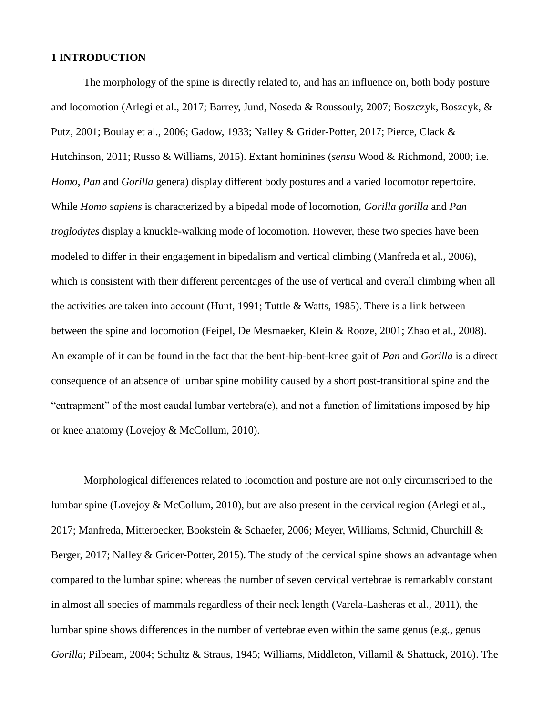## **1 INTRODUCTION**

The morphology of the spine is directly related to, and has an influence on, both body posture and locomotion (Arlegi et al., 2017; Barrey, Jund, Noseda & Roussouly, 2007; Boszczyk, Boszcyk, & Putz, 2001; Boulay et al., 2006; Gadow, 1933; Nalley & Grider-Potter, 2017; Pierce, Clack & Hutchinson, 2011; Russo & Williams, 2015). Extant hominines (*sensu* Wood & Richmond, 2000; i.e. *Homo*, *Pan* and *Gorilla* genera) display different body postures and a varied locomotor repertoire. While *Homo sapiens* is characterized by a bipedal mode of locomotion, *Gorilla gorilla* and *Pan troglodytes* display a knuckle-walking mode of locomotion. However, these two species have been modeled to differ in their engagement in bipedalism and vertical climbing (Manfreda et al., 2006), which is consistent with their different percentages of the use of vertical and overall climbing when all the activities are taken into account (Hunt, 1991; Tuttle & Watts, 1985). There is a link between between the spine and locomotion (Feipel, De Mesmaeker, Klein & Rooze, 2001; Zhao et al., 2008). An example of it can be found in the fact that the bent-hip-bent-knee gait of *Pan* and *Gorilla* is a direct consequence of an absence of lumbar spine mobility caused by a short post-transitional spine and the "entrapment" of the most caudal lumbar vertebra(e), and not a function of limitations imposed by hip or knee anatomy (Lovejoy & McCollum, 2010).

Morphological differences related to locomotion and posture are not only circumscribed to the lumbar spine (Lovejoy & McCollum, 2010), but are also present in the cervical region (Arlegi et al., 2017; Manfreda, Mitteroecker, Bookstein & Schaefer, 2006; Meyer, Williams, Schmid, Churchill & Berger, 2017; Nalley & Grider-Potter, 2015). The study of the cervical spine shows an advantage when compared to the lumbar spine: whereas the number of seven cervical vertebrae is remarkably constant in almost all species of mammals regardless of their neck length (Varela-Lasheras et al., 2011), the lumbar spine shows differences in the number of vertebrae even within the same genus (e.g., genus *Gorilla*; Pilbeam, 2004; Schultz & Straus, 1945; Williams, Middleton, Villamil & Shattuck, 2016). The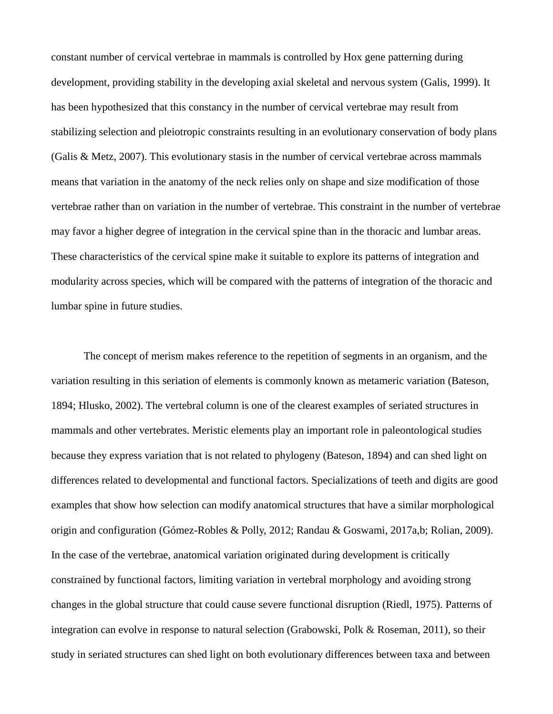constant number of cervical vertebrae in mammals is controlled by Hox gene patterning during development, providing stability in the developing axial skeletal and nervous system (Galis, 1999). It has been hypothesized that this constancy in the number of cervical vertebrae may result from stabilizing selection and pleiotropic constraints resulting in an evolutionary conservation of body plans (Galis & Metz, 2007). This evolutionary stasis in the number of cervical vertebrae across mammals means that variation in the anatomy of the neck relies only on shape and size modification of those vertebrae rather than on variation in the number of vertebrae. This constraint in the number of vertebrae may favor a higher degree of integration in the cervical spine than in the thoracic and lumbar areas. These characteristics of the cervical spine make it suitable to explore its patterns of integration and modularity across species, which will be compared with the patterns of integration of the thoracic and lumbar spine in future studies.

The concept of merism makes reference to the repetition of segments in an organism, and the variation resulting in this seriation of elements is commonly known as metameric variation (Bateson, 1894; Hlusko, 2002). The vertebral column is one of the clearest examples of seriated structures in mammals and other vertebrates. Meristic elements play an important role in paleontological studies because they express variation that is not related to phylogeny (Bateson, 1894) and can shed light on differences related to developmental and functional factors. Specializations of teeth and digits are good examples that show how selection can modify anatomical structures that have a similar morphological origin and configuration (Gómez-Robles & Polly, 2012; Randau & Goswami, 2017a,b; Rolian, 2009). In the case of the vertebrae, anatomical variation originated during development is critically constrained by functional factors, limiting variation in vertebral morphology and avoiding strong changes in the global structure that could cause severe functional disruption (Riedl, 1975). Patterns of integration can evolve in response to natural selection (Grabowski, Polk & Roseman, 2011), so their study in seriated structures can shed light on both evolutionary differences between taxa and between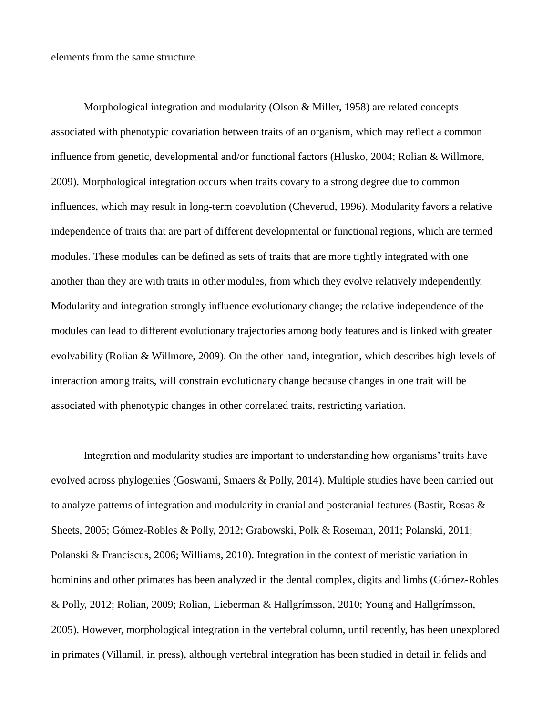elements from the same structure.

Morphological integration and modularity (Olson & Miller, 1958) are related concepts associated with phenotypic covariation between traits of an organism, which may reflect a common influence from genetic, developmental and/or functional factors (Hlusko, 2004; Rolian & Willmore, 2009). Morphological integration occurs when traits covary to a strong degree due to common influences, which may result in long-term coevolution (Cheverud, 1996). Modularity favors a relative independence of traits that are part of different developmental or functional regions, which are termed modules. These modules can be defined as sets of traits that are more tightly integrated with one another than they are with traits in other modules, from which they evolve relatively independently. Modularity and integration strongly influence evolutionary change; the relative independence of the modules can lead to different evolutionary trajectories among body features and is linked with greater evolvability (Rolian & Willmore, 2009). On the other hand, integration, which describes high levels of interaction among traits, will constrain evolutionary change because changes in one trait will be associated with phenotypic changes in other correlated traits, restricting variation.

Integration and modularity studies are important to understanding how organisms' traits have evolved across phylogenies (Goswami, Smaers & Polly, 2014). Multiple studies have been carried out to analyze patterns of integration and modularity in cranial and postcranial features (Bastir, Rosas & Sheets, 2005; Gómez-Robles & Polly, 2012; Grabowski, Polk & Roseman, 2011; Polanski, 2011; Polanski & Franciscus, 2006; Williams, 2010). Integration in the context of meristic variation in hominins and other primates has been analyzed in the dental complex, digits and limbs (Gómez-Robles & Polly, 2012; Rolian, 2009; Rolian, Lieberman & Hallgrímsson, 2010; Young and Hallgrímsson, 2005). However, morphological integration in the vertebral column, until recently, has been unexplored in primates (Villamil, in press), although vertebral integration has been studied in detail in felids and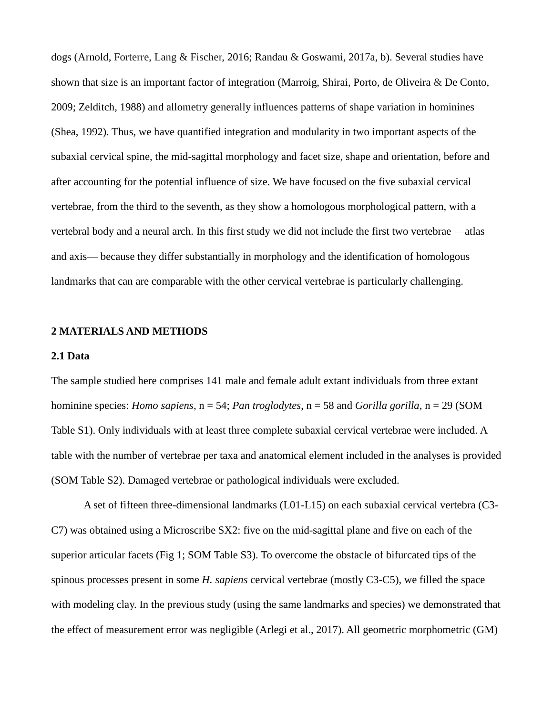dogs (Arnold, Forterre, Lang & Fischer, 2016; Randau & Goswami, 2017a, b). Several studies have shown that size is an important factor of integration (Marroig, Shirai, Porto, de Oliveira & De Conto, 2009; Zelditch, 1988) and allometry generally influences patterns of shape variation in hominines (Shea, 1992). Thus, we have quantified integration and modularity in two important aspects of the subaxial cervical spine, the mid-sagittal morphology and facet size, shape and orientation, before and after accounting for the potential influence of size. We have focused on the five subaxial cervical vertebrae, from the third to the seventh, as they show a homologous morphological pattern, with a vertebral body and a neural arch. In this first study we did not include the first two vertebrae —atlas and axis— because they differ substantially in morphology and the identification of homologous landmarks that can are comparable with the other cervical vertebrae is particularly challenging.

#### **2 MATERIALS AND METHODS**

#### **2.1 Data**

The sample studied here comprises 141 male and female adult extant individuals from three extant hominine species: *Homo sapiens*, n = 54; *Pan troglodytes*, n = 58 and *Gorilla gorilla*, n = 29 (SOM Table S1). Only individuals with at least three complete subaxial cervical vertebrae were included. A table with the number of vertebrae per taxa and anatomical element included in the analyses is provided (SOM Table S2). Damaged vertebrae or pathological individuals were excluded.

A set of fifteen three-dimensional landmarks (L01-L15) on each subaxial cervical vertebra (C3- C7) was obtained using a Microscribe SX2: five on the mid-sagittal plane and five on each of the superior articular facets (Fig 1; SOM Table S3). To overcome the obstacle of bifurcated tips of the spinous processes present in some *H. sapiens* cervical vertebrae (mostly C3-C5), we filled the space with modeling clay. In the previous study (using the same landmarks and species) we demonstrated that the effect of measurement error was negligible (Arlegi et al., 2017). All geometric morphometric (GM)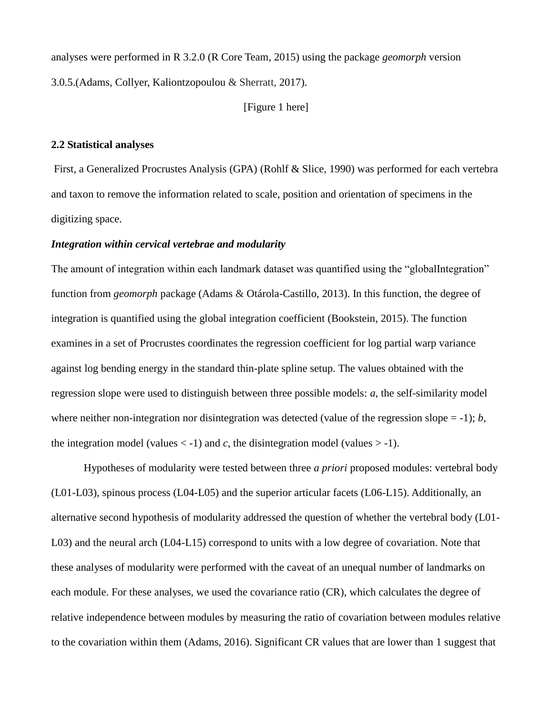analyses were performed in R 3.2.0 (R Core Team, 2015) using the package *geomorph* version 3.0.5.(Adams, Collyer, Kaliontzopoulou & Sherratt, 2017).

## [Figure 1 here]

## **2.2 Statistical analyses**

First, a Generalized Procrustes Analysis (GPA) (Rohlf & Slice, 1990) was performed for each vertebra and taxon to remove the information related to scale, position and orientation of specimens in the digitizing space.

## *Integration within cervical vertebrae and modularity*

The amount of integration within each landmark dataset was quantified using the "globalIntegration" function from *geomorph* package (Adams & Otárola-Castillo, 2013). In this function, the degree of integration is quantified using the global integration coefficient (Bookstein, 2015). The function examines in a set of Procrustes coordinates the regression coefficient for log partial warp variance against log bending energy in the standard thin-plate spline setup. The values obtained with the regression slope were used to distinguish between three possible models: *a*, the self-similarity model where neither non-integration nor disintegration was detected (value of the regression slope  $= -1$ ); *b*, the integration model (values  $\langle -1 \rangle$ ) and *c*, the disintegration model (values  $> -1$ ).

Hypotheses of modularity were tested between three *a priori* proposed modules: vertebral body (L01-L03), spinous process (L04-L05) and the superior articular facets (L06-L15). Additionally, an alternative second hypothesis of modularity addressed the question of whether the vertebral body (L01- L03) and the neural arch (L04-L15) correspond to units with a low degree of covariation. Note that these analyses of modularity were performed with the caveat of an unequal number of landmarks on each module. For these analyses, we used the covariance ratio (CR), which calculates the degree of relative independence between modules by measuring the ratio of covariation between modules relative to the covariation within them (Adams, 2016). Significant CR values that are lower than 1 suggest that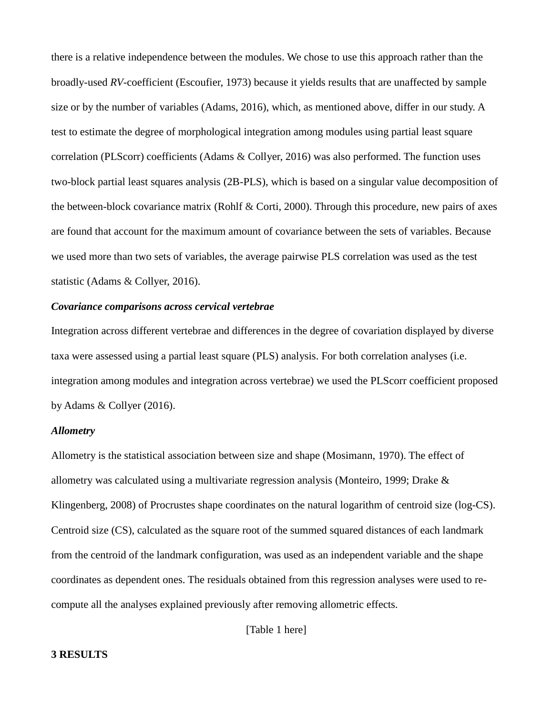there is a relative independence between the modules. We chose to use this approach rather than the broadly-used *RV*-coefficient (Escoufier, 1973) because it yields results that are unaffected by sample size or by the number of variables (Adams, 2016), which, as mentioned above, differ in our study. A test to estimate the degree of morphological integration among modules using partial least square correlation (PLScorr) coefficients (Adams & Collyer, 2016) was also performed. The function uses two-block partial least squares analysis (2B-PLS), which is based on a singular value decomposition of the between-block covariance matrix (Rohlf & Corti, 2000). Through this procedure, new pairs of axes are found that account for the maximum amount of covariance between the sets of variables. Because we used more than two sets of variables, the average pairwise PLS correlation was used as the test statistic (Adams & Collyer, 2016).

# *Covariance comparisons across cervical vertebrae*

Integration across different vertebrae and differences in the degree of covariation displayed by diverse taxa were assessed using a partial least square (PLS) analysis. For both correlation analyses (i.e. integration among modules and integration across vertebrae) we used the PLScorr coefficient proposed by Adams & Collyer (2016).

## *Allometry*

Allometry is the statistical association between size and shape (Mosimann, 1970). The effect of allometry was calculated using a multivariate regression analysis (Monteiro, 1999; Drake & Klingenberg, 2008) of Procrustes shape coordinates on the natural logarithm of centroid size (log-CS). Centroid size (CS), calculated as the square root of the summed squared distances of each landmark from the centroid of the landmark configuration, was used as an independent variable and the shape coordinates as dependent ones. The residuals obtained from this regression analyses were used to recompute all the analyses explained previously after removing allometric effects.

[Table 1 here]

## **3 RESULTS**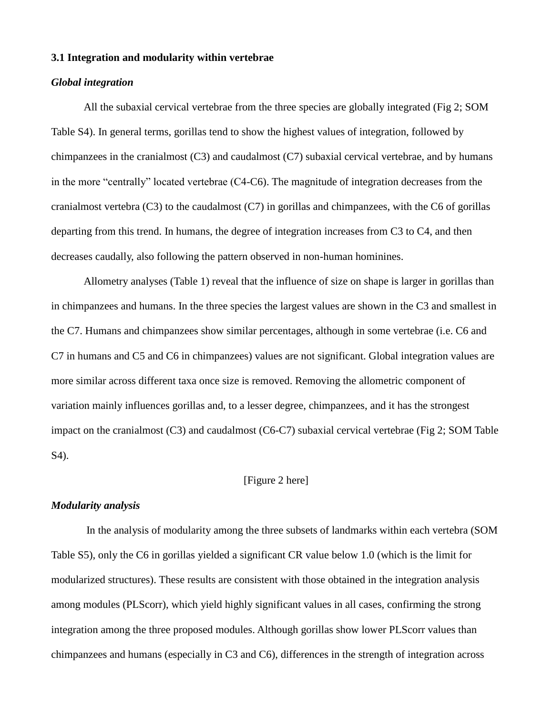### **3.1 Integration and modularity within vertebrae**

#### *Global integration*

All the subaxial cervical vertebrae from the three species are globally integrated (Fig 2; SOM Table S4). In general terms, gorillas tend to show the highest values of integration, followed by chimpanzees in the cranialmost  $(C3)$  and caudalmost  $(C7)$  subaxial cervical vertebrae, and by humans in the more "centrally" located vertebrae (C4-C6). The magnitude of integration decreases from the cranialmost vertebra  $(C3)$  to the caudalmost  $(C7)$  in gorillas and chimpanzees, with the C6 of gorillas departing from this trend. In humans, the degree of integration increases from C3 to C4, and then decreases caudally, also following the pattern observed in non-human hominines.

Allometry analyses (Table 1) reveal that the influence of size on shape is larger in gorillas than in chimpanzees and humans. In the three species the largest values are shown in the C3 and smallest in the C7. Humans and chimpanzees show similar percentages, although in some vertebrae (i.e. C6 and C7 in humans and C5 and C6 in chimpanzees) values are not significant. Global integration values are more similar across different taxa once size is removed. Removing the allometric component of variation mainly influences gorillas and, to a lesser degree, chimpanzees, and it has the strongest impact on the cranialmost (C3) and caudalmost (C6-C7) subaxial cervical vertebrae (Fig 2; SOM Table S4).

# [Figure 2 here]

# *Modularity analysis*

In the analysis of modularity among the three subsets of landmarks within each vertebra (SOM Table S5), only the C6 in gorillas yielded a significant CR value below 1.0 (which is the limit for modularized structures). These results are consistent with those obtained in the integration analysis among modules (PLScorr), which yield highly significant values in all cases, confirming the strong integration among the three proposed modules. Although gorillas show lower PLScorr values than chimpanzees and humans (especially in C3 and C6), differences in the strength of integration across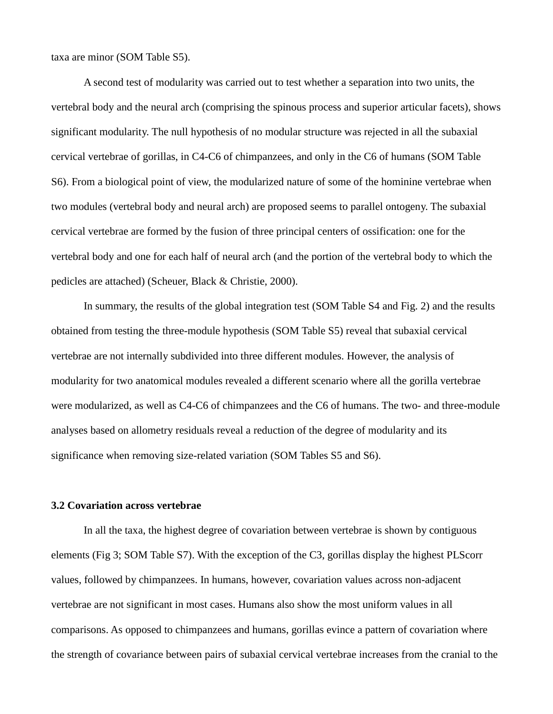taxa are minor (SOM Table S5).

A second test of modularity was carried out to test whether a separation into two units, the vertebral body and the neural arch (comprising the spinous process and superior articular facets), shows significant modularity. The null hypothesis of no modular structure was rejected in all the subaxial cervical vertebrae of gorillas, in C4-C6 of chimpanzees, and only in the C6 of humans (SOM Table S6). From a biological point of view, the modularized nature of some of the hominine vertebrae when two modules (vertebral body and neural arch) are proposed seems to parallel ontogeny. The subaxial cervical vertebrae are formed by the fusion of three principal centers of ossification: one for the vertebral body and one for each half of neural arch (and the portion of the vertebral body to which the pedicles are attached) (Scheuer, Black & Christie, 2000).

In summary, the results of the global integration test (SOM Table S4 and Fig. 2) and the results obtained from testing the three-module hypothesis (SOM Table S5) reveal that subaxial cervical vertebrae are not internally subdivided into three different modules. However, the analysis of modularity for two anatomical modules revealed a different scenario where all the gorilla vertebrae were modularized, as well as C4-C6 of chimpanzees and the C6 of humans. The two- and three-module analyses based on allometry residuals reveal a reduction of the degree of modularity and its significance when removing size-related variation (SOM Tables S5 and S6).

## **3.2 Covariation across vertebrae**

In all the taxa, the highest degree of covariation between vertebrae is shown by contiguous elements (Fig 3; SOM Table S7). With the exception of the C3, gorillas display the highest PLScorr values, followed by chimpanzees. In humans, however, covariation values across non-adjacent vertebrae are not significant in most cases. Humans also show the most uniform values in all comparisons. As opposed to chimpanzees and humans, gorillas evince a pattern of covariation where the strength of covariance between pairs of subaxial cervical vertebrae increases from the cranial to the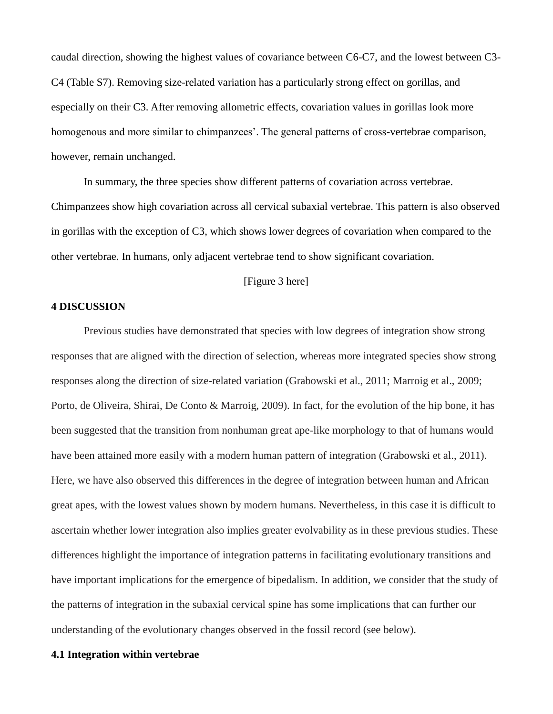caudal direction, showing the highest values of covariance between C6-C7, and the lowest between C3- C4 (Table S7). Removing size-related variation has a particularly strong effect on gorillas, and especially on their C3. After removing allometric effects, covariation values in gorillas look more homogenous and more similar to chimpanzees'. The general patterns of cross-vertebrae comparison, however, remain unchanged.

In summary, the three species show different patterns of covariation across vertebrae. Chimpanzees show high covariation across all cervical subaxial vertebrae. This pattern is also observed in gorillas with the exception of C3, which shows lower degrees of covariation when compared to the other vertebrae. In humans, only adjacent vertebrae tend to show significant covariation.

## [Figure 3 here]

### **4 DISCUSSION**

Previous studies have demonstrated that species with low degrees of integration show strong responses that are aligned with the direction of selection, whereas more integrated species show strong responses along the direction of size-related variation (Grabowski et al., 2011; Marroig et al., 2009; Porto, de Oliveira, Shirai, De Conto & Marroig, 2009). In fact, for the evolution of the hip bone, it has been suggested that the transition from nonhuman great ape-like morphology to that of humans would have been attained more easily with a modern human pattern of integration (Grabowski et al., 2011). Here, we have also observed this differences in the degree of integration between human and African great apes, with the lowest values shown by modern humans. Nevertheless, in this case it is difficult to ascertain whether lower integration also implies greater evolvability as in these previous studies. These differences highlight the importance of integration patterns in facilitating evolutionary transitions and have important implications for the emergence of bipedalism. In addition, we consider that the study of the patterns of integration in the subaxial cervical spine has some implications that can further our understanding of the evolutionary changes observed in the fossil record (see below).

## **4.1 Integration within vertebrae**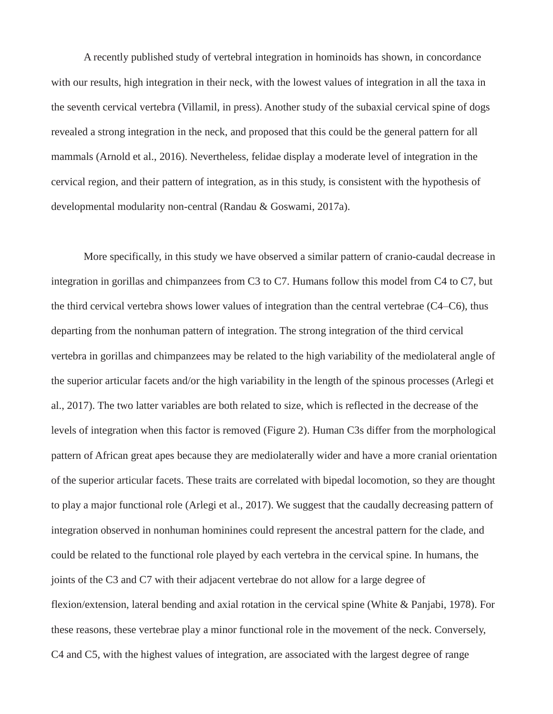A recently published study of vertebral integration in hominoids has shown, in concordance with our results, high integration in their neck, with the lowest values of integration in all the taxa in the seventh cervical vertebra (Villamil, in press). Another study of the subaxial cervical spine of dogs revealed a strong integration in the neck, and proposed that this could be the general pattern for all mammals (Arnold et al., 2016). Nevertheless, felidae display a moderate level of integration in the cervical region, and their pattern of integration, as in this study, is consistent with the hypothesis of developmental modularity non-central (Randau & Goswami, 2017a).

More specifically, in this study we have observed a similar pattern of cranio-caudal decrease in integration in gorillas and chimpanzees from C3 to C7. Humans follow this model from C4 to C7, but the third cervical vertebra shows lower values of integration than the central vertebrae (C4–C6), thus departing from the nonhuman pattern of integration. The strong integration of the third cervical vertebra in gorillas and chimpanzees may be related to the high variability of the mediolateral angle of the superior articular facets and/or the high variability in the length of the spinous processes (Arlegi et al., 2017). The two latter variables are both related to size, which is reflected in the decrease of the levels of integration when this factor is removed (Figure 2). Human C3s differ from the morphological pattern of African great apes because they are mediolaterally wider and have a more cranial orientation of the superior articular facets. These traits are correlated with bipedal locomotion, so they are thought to play a major functional role (Arlegi et al., 2017). We suggest that the caudally decreasing pattern of integration observed in nonhuman hominines could represent the ancestral pattern for the clade, and could be related to the functional role played by each vertebra in the cervical spine. In humans, the joints of the C3 and C7 with their adjacent vertebrae do not allow for a large degree of flexion/extension, lateral bending and axial rotation in the cervical spine (White & Panjabi, 1978). For these reasons, these vertebrae play a minor functional role in the movement of the neck. Conversely, C4 and C5, with the highest values of integration, are associated with the largest degree of range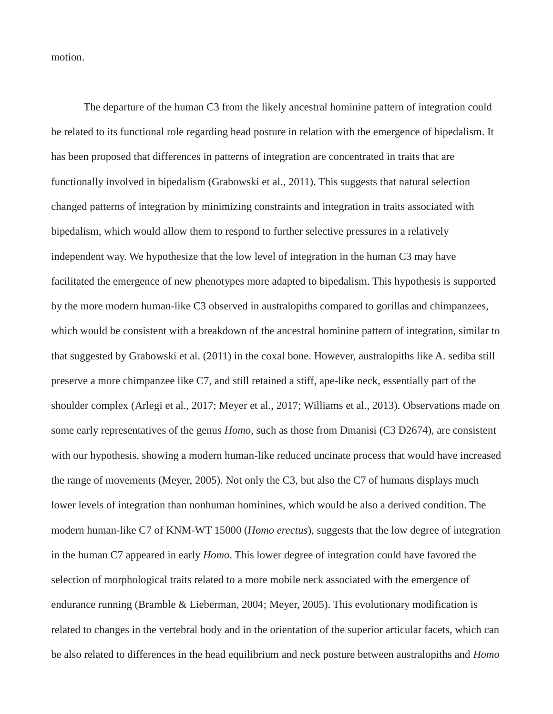motion.

The departure of the human C3 from the likely ancestral hominine pattern of integration could be related to its functional role regarding head posture in relation with the emergence of bipedalism. It has been proposed that differences in patterns of integration are concentrated in traits that are functionally involved in bipedalism (Grabowski et al., 2011). This suggests that natural selection changed patterns of integration by minimizing constraints and integration in traits associated with bipedalism, which would allow them to respond to further selective pressures in a relatively independent way. We hypothesize that the low level of integration in the human C3 may have facilitated the emergence of new phenotypes more adapted to bipedalism. This hypothesis is supported by the more modern human-like C3 observed in australopiths compared to gorillas and chimpanzees, which would be consistent with a breakdown of the ancestral hominine pattern of integration, similar to that suggested by Grabowski et al. (2011) in the coxal bone. However, australopiths like A. sediba still preserve a more chimpanzee like C7, and still retained a stiff, ape-like neck, essentially part of the shoulder complex (Arlegi et al., 2017; Meyer et al., 2017; Williams et al., 2013). Observations made on some early representatives of the genus *Homo*, such as those from Dmanisi (C3 D2674), are consistent with our hypothesis, showing a modern human-like reduced uncinate process that would have increased the range of movements (Meyer, 2005). Not only the C3, but also the C7 of humans displays much lower levels of integration than nonhuman hominines, which would be also a derived condition. The modern human-like C7 of KNM-WT 15000 (*Homo erectus*), suggests that the low degree of integration in the human C7 appeared in early *Homo*. This lower degree of integration could have favored the selection of morphological traits related to a more mobile neck associated with the emergence of endurance running (Bramble & Lieberman, 2004; Meyer, 2005). This evolutionary modification is related to changes in the vertebral body and in the orientation of the superior articular facets, which can be also related to differences in the head equilibrium and neck posture between australopiths and *Homo*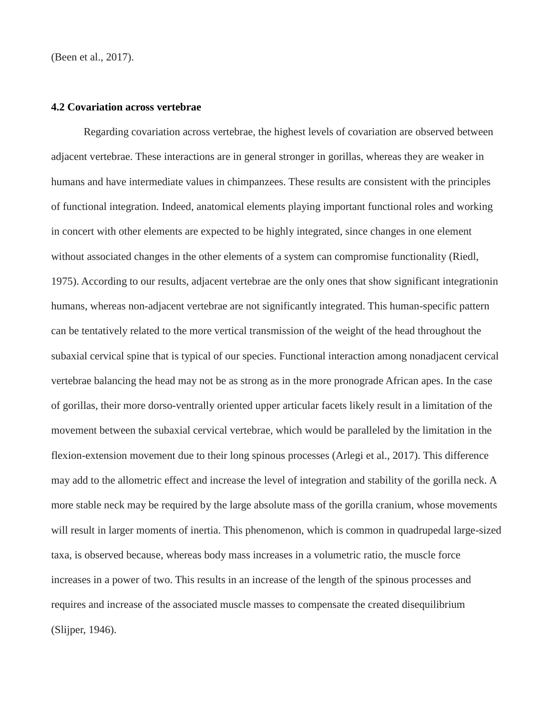(Been et al., 2017).

#### **4.2 Covariation across vertebrae**

Regarding covariation across vertebrae, the highest levels of covariation are observed between adjacent vertebrae. These interactions are in general stronger in gorillas, whereas they are weaker in humans and have intermediate values in chimpanzees. These results are consistent with the principles of functional integration. Indeed, anatomical elements playing important functional roles and working in concert with other elements are expected to be highly integrated, since changes in one element without associated changes in the other elements of a system can compromise functionality (Riedl, 1975). According to our results, adjacent vertebrae are the only ones that show significant integrationin humans, whereas non-adjacent vertebrae are not significantly integrated. This human-specific pattern can be tentatively related to the more vertical transmission of the weight of the head throughout the subaxial cervical spine that is typical of our species. Functional interaction among nonadjacent cervical vertebrae balancing the head may not be as strong as in the more pronograde African apes. In the case of gorillas, their more dorso-ventrally oriented upper articular facets likely result in a limitation of the movement between the subaxial cervical vertebrae, which would be paralleled by the limitation in the flexion-extension movement due to their long spinous processes (Arlegi et al., 2017). This difference may add to the allometric effect and increase the level of integration and stability of the gorilla neck. A more stable neck may be required by the large absolute mass of the gorilla cranium, whose movements will result in larger moments of inertia. This phenomenon, which is common in quadrupedal large-sized taxa, is observed because, whereas body mass increases in a volumetric ratio, the muscle force increases in a power of two. This results in an increase of the length of the spinous processes and requires and increase of the associated muscle masses to compensate the created disequilibrium (Slijper, 1946).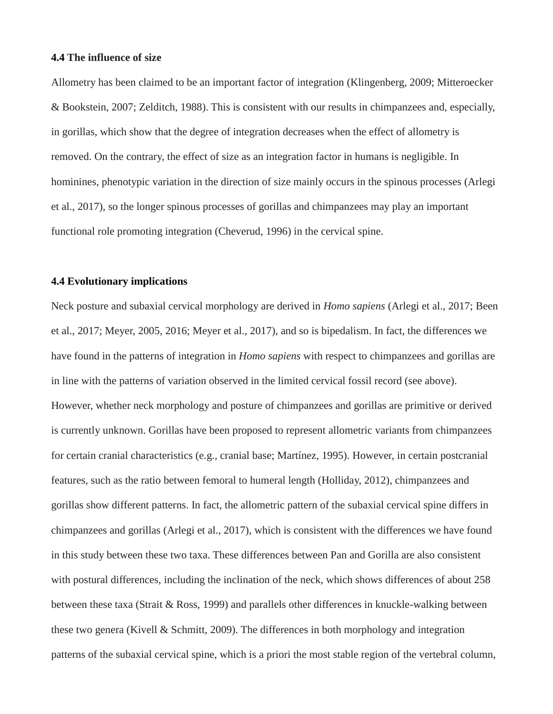#### **4.4 The influence of size**

Allometry has been claimed to be an important factor of integration (Klingenberg, 2009; Mitteroecker & Bookstein, 2007; Zelditch, 1988). This is consistent with our results in chimpanzees and, especially, in gorillas, which show that the degree of integration decreases when the effect of allometry is removed. On the contrary, the effect of size as an integration factor in humans is negligible. In hominines, phenotypic variation in the direction of size mainly occurs in the spinous processes (Arlegi et al., 2017), so the longer spinous processes of gorillas and chimpanzees may play an important functional role promoting integration (Cheverud, 1996) in the cervical spine.

### **4.4 Evolutionary implications**

Neck posture and subaxial cervical morphology are derived in *Homo sapiens* (Arlegi et al., 2017; Been et al., 2017; Meyer, 2005, 2016; Meyer et al., 2017), and so is bipedalism. In fact, the differences we have found in the patterns of integration in *Homo sapiens* with respect to chimpanzees and gorillas are in line with the patterns of variation observed in the limited cervical fossil record (see above). However, whether neck morphology and posture of chimpanzees and gorillas are primitive or derived is currently unknown. Gorillas have been proposed to represent allometric variants from chimpanzees for certain cranial characteristics (e.g., cranial base; Martínez, 1995). However, in certain postcranial features, such as the ratio between femoral to humeral length (Holliday, 2012), chimpanzees and gorillas show different patterns. In fact, the allometric pattern of the subaxial cervical spine differs in chimpanzees and gorillas (Arlegi et al., 2017), which is consistent with the differences we have found in this study between these two taxa. These differences between Pan and Gorilla are also consistent with postural differences, including the inclination of the neck, which shows differences of about 258 between these taxa (Strait & Ross, 1999) and parallels other differences in knuckle-walking between these two genera (Kivell & Schmitt, 2009). The differences in both morphology and integration patterns of the subaxial cervical spine, which is a priori the most stable region of the vertebral column,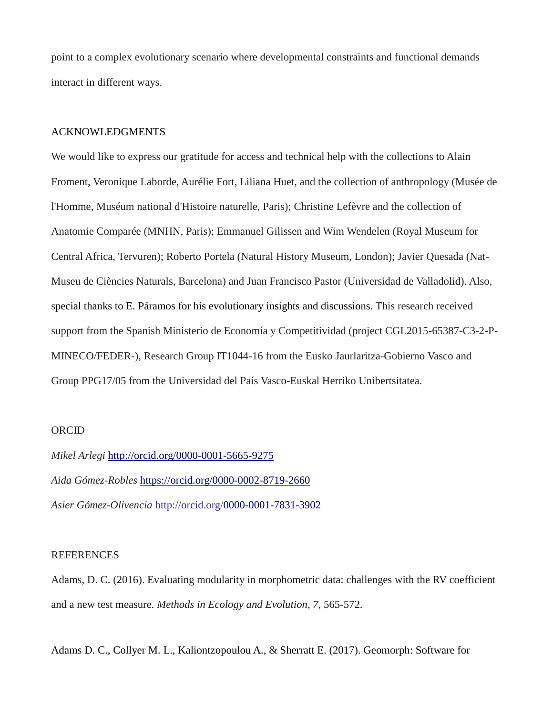point to a complex evolutionary scenario where developmental constraints and functional demands interact in different ways.

## ACKNOWLEDGMENTS

We would like to express our gratitude for access and technical help with the collections to Alain Froment, Veronique Laborde, Aurélie Fort, Liliana Huet, and the collection of anthropology (Musée de l'Homme, Muséum national d'Histoire naturelle, Paris); Christine Lefèvre and the collection of Anatomie Comparée (MNHN, Paris); Emmanuel Gilissen and Wim Wendelen (Royal Museum for Central Africa, Tervuren); Roberto Portela (Natural History Museum, London); Javier Quesada (Nat-Museu de Ciències Naturals, Barcelona) and Juan Francisco Pastor (Universidad de Valladolid). Also, special thanks to E. Páramos for his evolutionary insights and discussions. This research received support from the Spanish Ministerio de Economía y Competitividad (project CGL2015-65387-C3-2-P-MINECO/FEDER-), Research Group IT1044-16 from the Eusko Jaurlaritza-Gobierno Vasco and Group PPG17/05 from the Universidad del País Vasco-Euskal Herriko Unibertsitatea.

## ORCID

*Mikel Arlegi* http://orcid.org/0000-0001-5665-9275 *Aida Gómez-Robles* <https://orcid.org/0000-0002-8719-2660> *Asier Gómez-Olivencia* http://orcid.org[/0000-0001-7831-3902](http://orcid.org/0000-0001-7831-3902)

## REFERENCES

Adams, D. C. (2016). Evaluating modularity in morphometric data: challenges with the RV coefficient and a new test measure. *Methods in Ecology and Evolution*, *7*, 565-572.

Adams D. C., Collyer M. L., Kaliontzopoulou A., & Sherratt E. (2017). Geomorph: Software for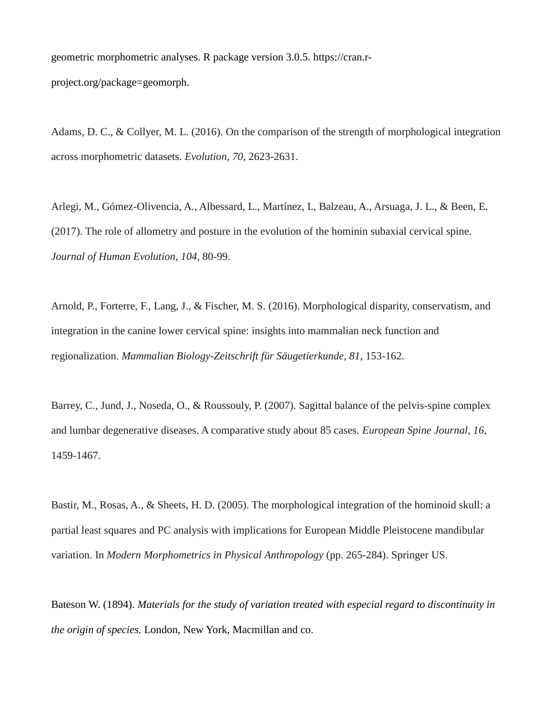geometric morphometric analyses. R package version 3.0.5. https://cran.rproject.org/package=geomorph.

Adams, D. C., & Collyer, M. L. (2016). On the comparison of the strength of morphological integration across morphometric datasets. *Evolution*, *70*, 2623-2631.

Arlegi, M., Gómez-Olivencia, A., Albessard, L., Martínez, I., Balzeau, A., Arsuaga, J. L., & Been, E. (2017). The role of allometry and posture in the evolution of the hominin subaxial cervical spine. *Journal of Human Evolution*, *104*, 80-99.

Arnold, P., Forterre, F., Lang, J., & Fischer, M. S. (2016). Morphological disparity, conservatism, and integration in the canine lower cervical spine: insights into mammalian neck function and regionalization. *Mammalian Biology-Zeitschrift für Säugetierkunde*, *81*, 153-162.

Barrey, C., Jund, J., Noseda, O., & Roussouly, P. (2007). Sagittal balance of the pelvis-spine complex and lumbar degenerative diseases. A comparative study about 85 cases. *European Spine Journal, 16,* 1459-1467.

Bastir, M., Rosas, A., & Sheets, H. D. (2005). The morphological integration of the hominoid skull: a partial least squares and PC analysis with implications for European Middle Pleistocene mandibular variation. In *Modern Morphometrics in Physical Anthropology* (pp. 265-284). Springer US.

Bateson W. (1894). *Materials for the study of variation treated with especial regard to discontinuity in the origin of species.* [London, New York, Macmillan and co.](https://archive.org/search.php?query=publisher%3A)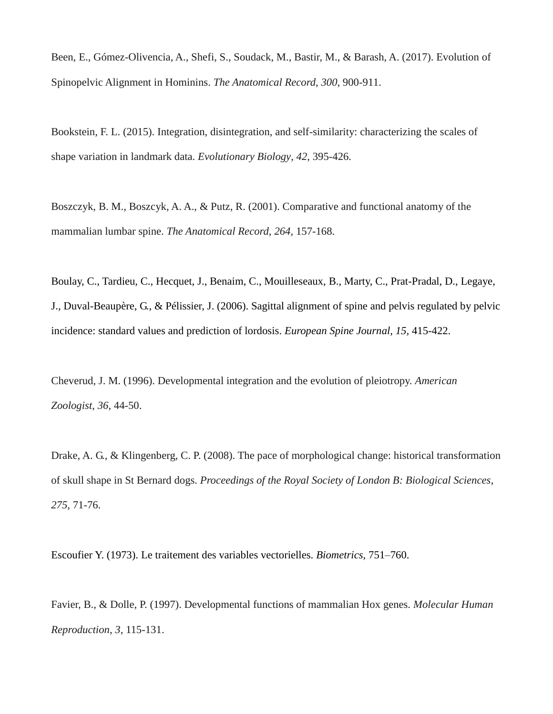Been, E., Gómez-Olivencia, A., Shefi, S., Soudack, M., Bastir, M., & Barash, A. (2017). Evolution of Spinopelvic Alignment in Hominins. *The Anatomical Record*, *300*, 900-911.

Bookstein, F. L. (2015). Integration, disintegration, and self-similarity: characterizing the scales of shape variation in landmark data. *Evolutionary Biology*, *42*, 395-426.

Boszczyk, B. M., Boszcyk, A. A., & Putz, R. (2001). Comparative and functional anatomy of the mammalian lumbar spine. *The Anatomical Record, 264,* 157-168.

Boulay, C., Tardieu, C., Hecquet, J., Benaim, C., Mouilleseaux, B., Marty, C., Prat-Pradal, D., Legaye, J., Duval-Beaupère, G., & Pélissier, J. (2006). Sagittal alignment of spine and pelvis regulated by pelvic incidence: standard values and prediction of lordosis. *European Spine Journal, 15,* 415-422.

Cheverud, J. M. (1996). Developmental integration and the evolution of pleiotropy. *American Zoologist*, *36*, 44-50.

Drake, A. G., & Klingenberg, C. P. (2008). The pace of morphological change: historical transformation of skull shape in St Bernard dogs. *Proceedings of the Royal Society of London B: Biological Sciences*, *275*, 71-76.

Escoufier Y. (1973). Le traitement des variables vectorielles. *Biometrics,* 751–760.

Favier, B., & Dolle, P. (1997). Developmental functions of mammalian Hox genes. *Molecular Human Reproduction*, *3*, 115-131.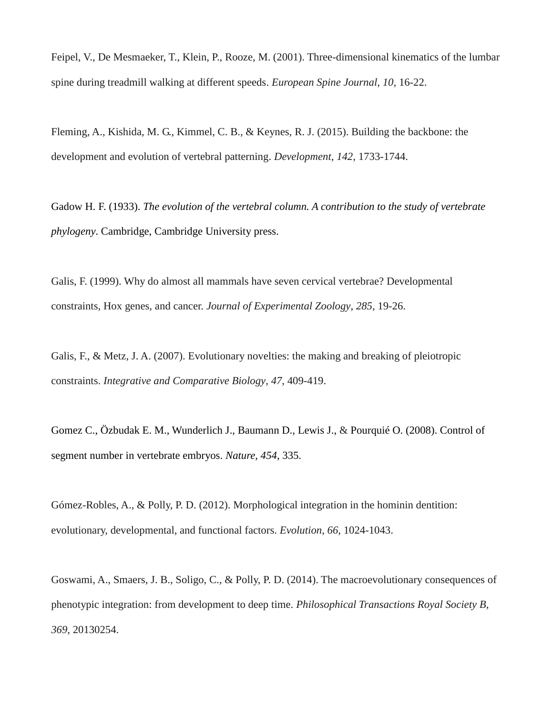Feipel, V., De Mesmaeker, T., Klein, P., Rooze, M. (2001). Three-dimensional kinematics of the lumbar spine during treadmill walking at different speeds. *European Spine Journal, 10,* 16-22.

Fleming, A., Kishida, M. G., Kimmel, C. B., & Keynes, R. J. (2015). Building the backbone: the development and evolution of vertebral patterning. *Development*, *142*, 1733-1744.

Gadow H. F. (1933). *The evolution of the vertebral column. A contribution to the study of vertebrate phylogeny*. Cambridge, Cambridge University press.

Galis, F. (1999). Why do almost all mammals have seven cervical vertebrae? Developmental constraints, Hox genes, and cancer. *Journal of Experimental Zoology*, *285*, 19-26.

Galis, F., & Metz, J. A. (2007). Evolutionary novelties: the making and breaking of pleiotropic constraints. *Integrative and Comparative Biology*, *47*, 409-419.

Gomez C., Özbudak E. M., Wunderlich J., Baumann D., Lewis J., & Pourquié O. (2008). Control of segment number in vertebrate embryos. *Nature, 454*, 335.

Gómez-Robles, A., & Polly, P. D. (2012). Morphological integration in the hominin dentition: evolutionary, developmental, and functional factors. *Evolution*, *66*, 1024-1043.

Goswami, A., Smaers, J. B., Soligo, C., & Polly, P. D. (2014). The macroevolutionary consequences of phenotypic integration: from development to deep time. *Philosophical Transactions Royal Society B*, *369*, 20130254.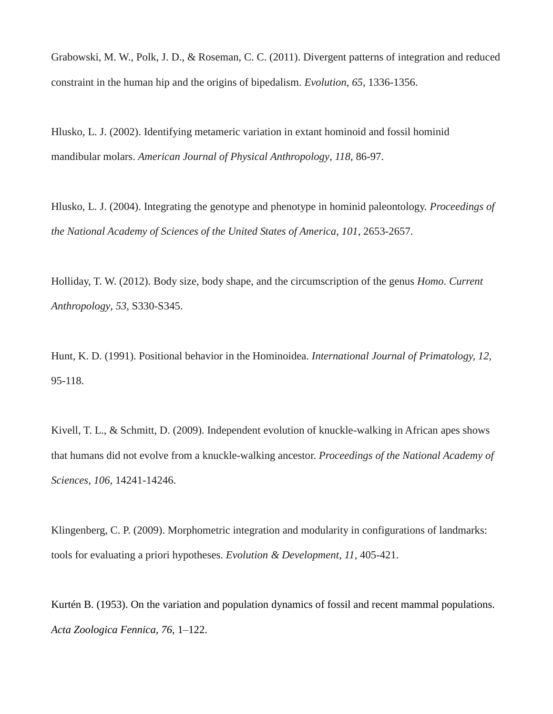Grabowski, M. W., Polk, J. D., & Roseman, C. C. (2011). Divergent patterns of integration and reduced constraint in the human hip and the origins of bipedalism. *Evolution*, *65*, 1336-1356.

Hlusko, L. J. (2002). Identifying metameric variation in extant hominoid and fossil hominid mandibular molars. *American Journal of Physical Anthropology*, *118*, 86-97.

Hlusko, L. J. (2004). Integrating the genotype and phenotype in hominid paleontology. *Proceedings of the National Academy of Sciences of the United States of America*, *101*, 2653-2657.

Holliday, T. W. (2012). Body size, body shape, and the circumscription of the genus *Homo*. *Current Anthropology*, *53*, S330-S345.

Hunt, K. D. (1991). Positional behavior in the Hominoidea. *International Journal of Primatology, 12,* 95-118.

Kivell, T. L., & Schmitt, D. (2009). Independent evolution of knuckle-walking in African apes shows that humans did not evolve from a knuckle-walking ancestor. *Proceedings of the National Academy of Sciences*, *106*, 14241-14246.

Klingenberg, C. P. (2009). Morphometric integration and modularity in configurations of landmarks: tools for evaluating a priori hypotheses. *Evolution & Development*, *11*, 405-421.

Kurtén B. (1953). On the variation and population dynamics of fossil and recent mammal populations. *Acta Zoologica Fennica, 76*, 1–122.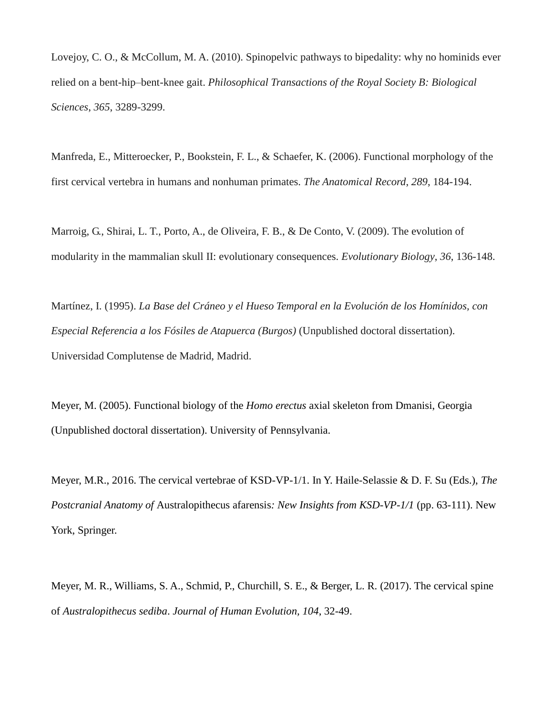Lovejoy, C. O., & McCollum, M. A. (2010). Spinopelvic pathways to bipedality: why no hominids ever relied on a bent-hip–bent-knee gait. *Philosophical Transactions of the Royal Society B: Biological Sciences*, *365*, 3289-3299.

Manfreda, E., Mitteroecker, P., Bookstein, F. L., & Schaefer, K. (2006). Functional morphology of the first cervical vertebra in humans and nonhuman primates. *The Anatomical Record*, *289*, 184-194.

Marroig, G., Shirai, L. T., Porto, A., de Oliveira, F. B., & De Conto, V. (2009). The evolution of modularity in the mammalian skull II: evolutionary consequences. *Evolutionary Biology*, *36*, 136-148.

Martínez, I. (1995). *La Base del Cráneo y el Hueso Temporal en la Evolución de los Homínidos, con Especial Referencia a los Fósiles de Atapuerca (Burgos)* (Unpublished doctoral dissertation). Universidad Complutense de Madrid, Madrid.

Meyer, M. (2005). Functional biology of the *Homo erectus* axial skeleton from Dmanisi, Georgia (Unpublished doctoral dissertation). University of Pennsylvania.

Meyer, M.R., 2016. The cervical vertebrae of KSD-VP-1/1. In Y. Haile-Selassie & D. F. Su (Eds.), *The Postcranial Anatomy of* Australopithecus afarensis*: New Insights from KSD-VP-1/1* (pp. 63-111). New York, Springer.

Meyer, M. R., Williams, S. A., Schmid, P., Churchill, S. E., & Berger, L. R. (2017). The cervical spine of *Australopithecus sediba*. *Journal of Human Evolution, 104*, 32-49.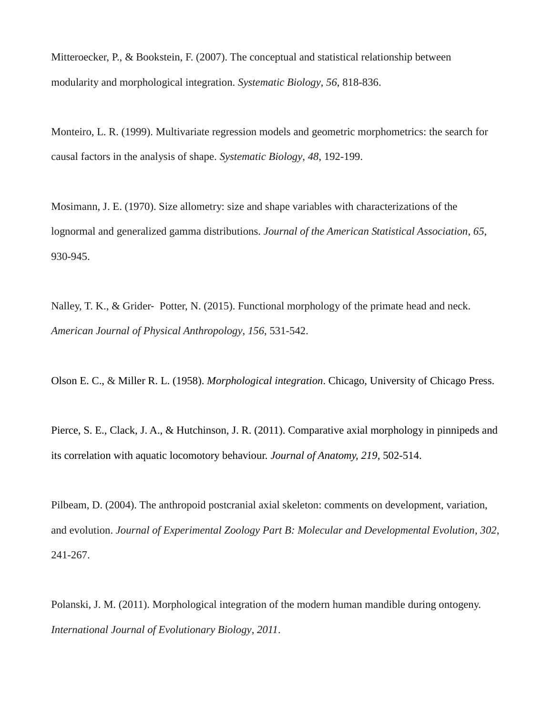Mitteroecker, P., & Bookstein, F. (2007). The conceptual and statistical relationship between modularity and morphological integration. *Systematic Biology*, *56*, 818-836.

Monteiro, L. R. (1999). Multivariate regression models and geometric morphometrics: the search for causal factors in the analysis of shape. *Systematic Biology*, *48*, 192-199.

Mosimann, J. E. (1970). Size allometry: size and shape variables with characterizations of the lognormal and generalized gamma distributions. *Journal of the American Statistical Association*, *65*, 930-945.

Nalley, T. K., & Grider‐ Potter, N. (2015). Functional morphology of the primate head and neck. *American Journal of Physical Anthropology*, *156*, 531-542.

Olson E. C., & Miller R. L. (1958). *Morphological integration*. Chicago, University of Chicago Press.

Pierce, S. E., Clack, J. A., & Hutchinson, J. R. (2011). Comparative axial morphology in pinnipeds and its correlation with aquatic locomotory behaviour. *Journal of Anatomy, 219,* 502-514.

Pilbeam, D. (2004). The anthropoid postcranial axial skeleton: comments on development, variation, and evolution. *Journal of Experimental Zoology Part B: Molecular and Developmental Evolution*, *302*, 241-267.

Polanski, J. M. (2011). Morphological integration of the modern human mandible during ontogeny. *International Journal of Evolutionary Biology*, *2011*.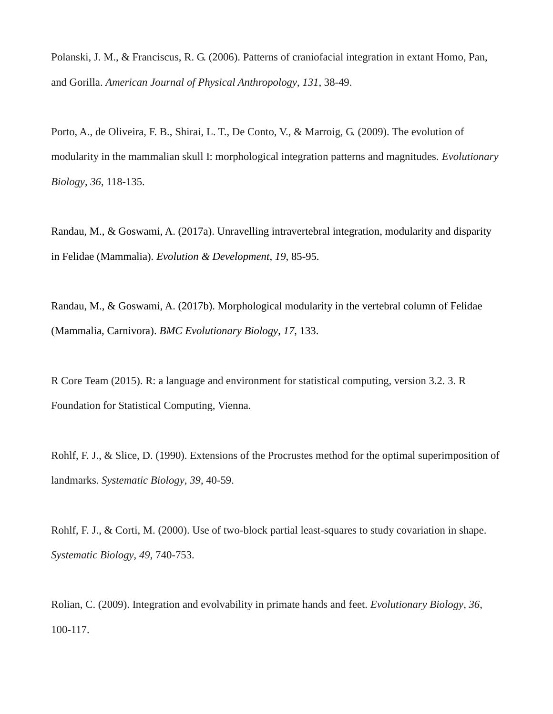Polanski, J. M., & Franciscus, R. G. (2006). Patterns of craniofacial integration in extant Homo, Pan, and Gorilla. *American Journal of Physical Anthropology*, *131*, 38-49.

Porto, A., de Oliveira, F. B., Shirai, L. T., De Conto, V., & Marroig, G. (2009). The evolution of modularity in the mammalian skull I: morphological integration patterns and magnitudes. *Evolutionary Biology*, *36*, 118-135.

Randau, M., & Goswami, A. (2017a). Unravelling intravertebral integration, modularity and disparity in Felidae (Mammalia). *Evolution & Development*, *19*, 85-95.

Randau, M., & Goswami, A. (2017b). Morphological modularity in the vertebral column of Felidae (Mammalia, Carnivora). *BMC Evolutionary Biology*, *17*, 133.

R Core Team (2015). R: a language and environment for statistical computing, version 3.2. 3. R Foundation for Statistical Computing, Vienna.

Rohlf, F. J., & Slice, D. (1990). Extensions of the Procrustes method for the optimal superimposition of landmarks. *Systematic Biology*, *39*, 40-59.

Rohlf, F. J., & Corti, M. (2000). Use of two-block partial least-squares to study covariation in shape. *Systematic Biology*, *49*, 740-753.

Rolian, C. (2009). Integration and evolvability in primate hands and feet. *Evolutionary Biology*, *36*, 100-117.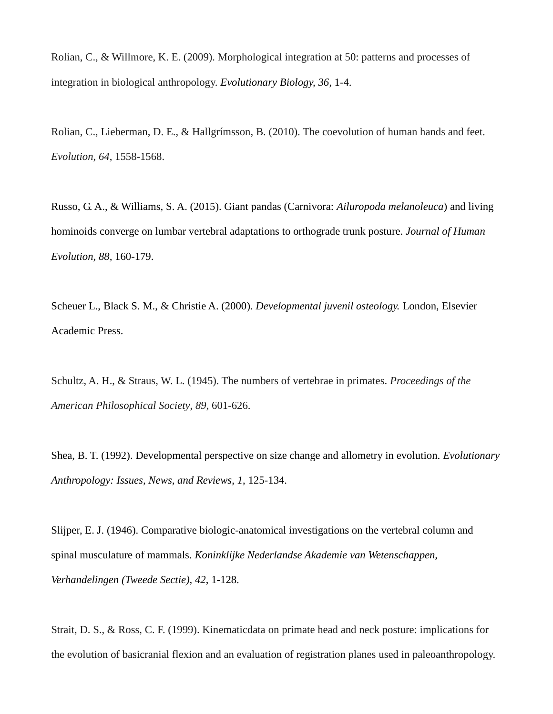Rolian, C., & Willmore, K. E. (2009). Morphological integration at 50: patterns and processes of integration in biological anthropology. *Evolutionary Biology, 36,* 1-4.

Rolian, C., Lieberman, D. E., & Hallgrímsson, B. (2010). The coevolution of human hands and feet. *Evolution*, *64*, 1558-1568.

Russo, G. A., & Williams, S. A. (2015). Giant pandas (Carnivora: *Ailuropoda melanoleuca*) and living hominoids converge on lumbar vertebral adaptations to orthograde trunk posture. *Journal of Human Evolution, 88,* 160-179.

Scheuer L., Black S. M., & Christie A. (2000). *Developmental juvenil osteology.* London, Elsevier Academic Press.

Schultz, A. H., & Straus, W. L. (1945). The numbers of vertebrae in primates. *Proceedings of the American Philosophical Society*, *89*, 601-626.

Shea, B. T. (1992). Developmental perspective on size change and allometry in evolution. *Evolutionary Anthropology: Issues, News, and Reviews*, *1*, 125-134.

Slijper, E. J. (1946). Comparative biologic-anatomical investigations on the vertebral column and spinal musculature of mammals. *Koninklijke Nederlandse Akademie van Wetenschappen, Verhandelingen (Tweede Sectie), 42*, 1-128.

Strait, D. S., & Ross, C. F. (1999). Kinematicdata on primate head and neck posture: implications for the evolution of basicranial flexion and an evaluation of registration planes used in paleoanthropology.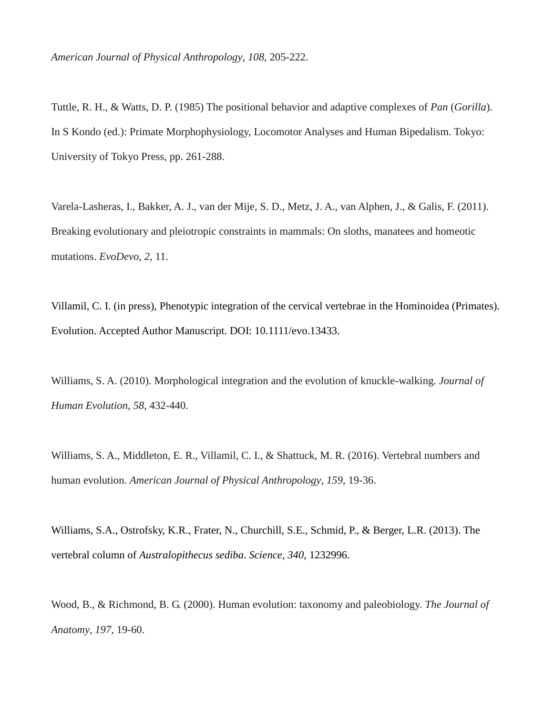Tuttle, R. H., & Watts, D. P. (1985) The positional behavior and adaptive complexes of *Pan* (*Gorilla*). In S Kondo (ed.): Primate Morphophysiology, Locomotor Analyses and Human Bipedalism. Tokyo: University of Tokyo Press, pp. 261-288.

Varela-Lasheras, I., Bakker, A. J., van der Mije, S. D., Metz, J. A., van Alphen, J., & Galis, F. (2011). Breaking evolutionary and pleiotropic constraints in mammals: On sloths, manatees and homeotic mutations. *EvoDevo*, *2*, 11.

Villamil, C. I. (in press), Phenotypic integration of the cervical vertebrae in the Hominoidea (Primates). Evolution. Accepted Author Manuscript. DOI: 10.1111/evo.13433.

Williams, S. A. (2010). Morphological integration and the evolution of knuckle-walking. *Journal of Human Evolution*, *58*, 432-440.

Williams, S. A., Middleton, E. R., Villamil, C. I., & Shattuck, M. R. (2016). Vertebral numbers and human evolution. *American Journal of Physical Anthropology*, *159*, 19-36.

Williams, S.A., Ostrofsky, K.R., Frater, N., Churchill, S.E., Schmid, P., & Berger, L.R. (2013). The vertebral column of *Australopithecus sediba*. *Science, 340*, 1232996.

Wood, B., & Richmond, B. G. (2000). Human evolution: taxonomy and paleobiology. *The Journal of Anatomy*, *197*, 19-60.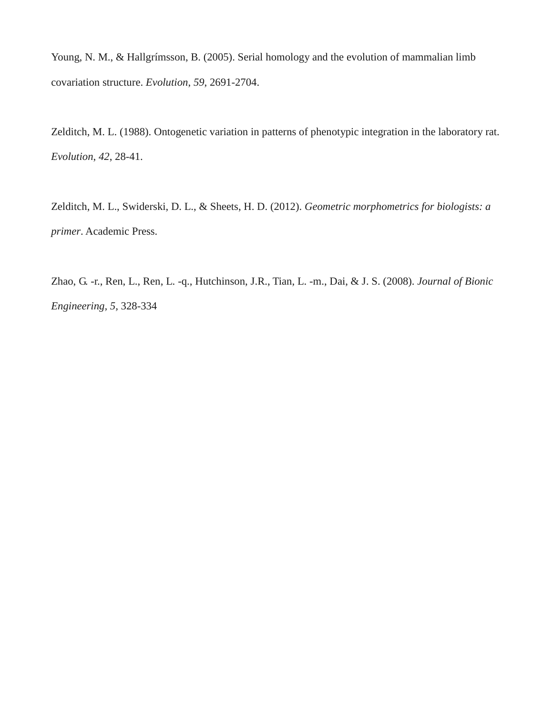Young, N. M., & Hallgrímsson, B. (2005). Serial homology and the evolution of mammalian limb covariation structure. *Evolution*, *59*, 2691-2704.

Zelditch, M. L. (1988). Ontogenetic variation in patterns of phenotypic integration in the laboratory rat. *Evolution*, *42*, 28-41.

Zelditch, M. L., Swiderski, D. L., & Sheets, H. D. (2012). *Geometric morphometrics for biologists: a primer*. Academic Press.

Zhao, G. -r., Ren, L., Ren, L. -q., Hutchinson, J.R., Tian, L. -m., Dai, & J. S. (2008). *Journal of Bionic Engineering, 5,* 328-334